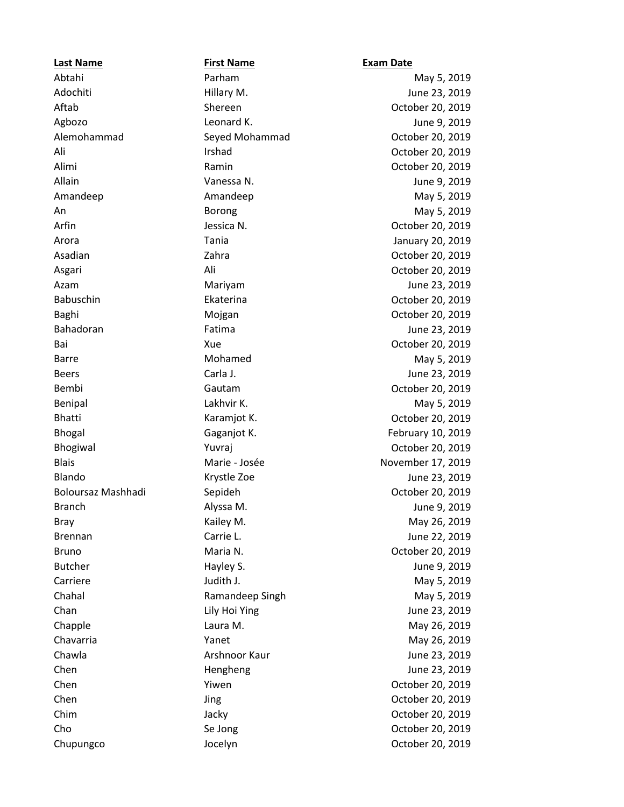**Last Name First Name Exam Date**

Abtahi Parham May 5, 2019 Adochiti Hillary M. June 23, 2019 Aftab Shereen October 20, 2019 Agbozo Leonard K. June 9, 2019 Alemohammad Seyed Mohammad October 20, 2019 Ali **Irshad** Corober 20, 2019 Alimi Ramin October 20, 2019 Allain Vanessa N. June 9, 2019 Amandeep May 5, 2019 An Borong Borong May 5, 2019 Arfin **Architectus Community Community Community** Jessica N. **Community Community Community Community Community Community October 20, 2019** Arora Tania January 20, 2019 Asadian **Zahra** Zahra **Zahra October 20, 2019** Asgari Ali October 20, 2019 Azam **Mariyam Mariyam June 23, 2019** Babuschin Ekaterina October 20, 2019 Baghi **Mojgan** Mojgan **October 20, 2019** Bahadoran Fatima June 23, 2019 Bai **Xue** Xue **Carried Automobile 20, 2019** Barre **Mohamed** Mohamed May 5, 2019 Beers **Carla J.** Carla J. **Carla J.** June 23, 2019 Bembi Gautam October 20, 2019 Benipal Communication of Lakhvir K. Communication of May 5, 2019 Bhatti **Karamjot K.** College Karamjot K. College Karamia Karamjot K. College A. 2019 Bhogal Gaganjot K. February 10, 2019 Bhogiwal **Mathematics** Yuvraj **Communist Provides Accept Accept Accept Accept Accept October 20, 2019** Blais Marie - Josée November 17, 2019 Blando Krystle Zoe June 23, 2019 Boloursaz Mashhadi Sepideh October 20, 2019 Branch **Alyssa M.** Alyssa M. Alyssa M. Alyssa M. Alyssa M. Alyssa M. Alyssa M. Alyssa M. Alyssa M. Alyssa M. Alyssa M. Alyssa M. Alyssa M. Alyssa M. Alyssa M. Alyssa M. Alyssa M. Alyssa M. Alyssa M. Alyssa M. Alyssa M. Aly Bray **Bray Communist Communist Communist Communist Communist Communist Communist Communist Communist Communist Communist Communist Communist Communist Communist Communist Communist Communist Communist Communist Communist C** Brennan Carrie L. Carrie L. Sanction Carrie L. Carrie L. Studies and Lune 22, 2019 Bruno **Maria N.** Communication Maria N. Communication Maria N. Communication Maria N. Communication October 20, 2019 Butcher **Example 3** Hayley S. The Mayley S. The Mayley S. The Mayley S. The Mayle State State State State State State State State State State State State State State State State State State State State State State State St Carriere Judith J. May 5, 2019 Chahal Ramandeep Singh May 5, 2019 Chan **Chan** Lily Hoi Ying **Chan** June 23, 2019 Chapple **Chapple Chapple Chapple** Laura M. Chapple **May 26, 2019** Chavarria **May 26, 2019** Yanet May 26, 2019 Chawla **Arshnoor Kaur Arshnoor Kaur** June 23, 2019 Chen Hengheng June 23, 2019 Chen Yiwen October 20, 2019 Chen Jing October 20, 2019 Chim Jacky October 20, 2019 Cho Se Jong October 20, 2019 Chupungco Jocelyn October 20, 2019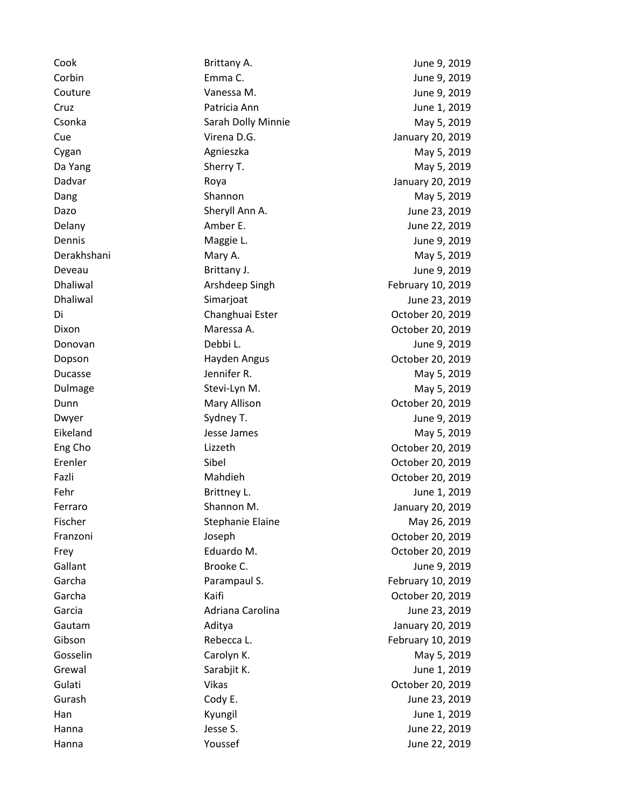Cook Brittany A. June 9, 2019 Corbin Emma C. June 9, 2019 Couture Vanessa M. June 9, 2019 Cruz Patricia Ann June 1, 2019 Csonka **Sarah Dolly Minnie** May 5, 2019 Cue Virena D.G. January 20, 2019 Cygan **Agnieszka** Agnieszka May 5, 2019 Da Yang Nay 5, 2019 Sherry T. The Sherry T. The Sherry T. All the Sherry T. The Sherry T. Sherry T. Sherry T. Sherry T. Sherry T. Sherry T. Sherry T. Sherry T. Sherry T. Sherry T. Sherry T. Sherry T. Sherry T. Sherry T. Sh Dadvar Roya January 20, 2019 Dang **Shannon** Shannon May 5, 2019 Dazo Sheryll Ann A. June 23, 2019 Delany **Amber E.** Amber E. Amber E. Amber E. Amber E. Amber E. Amber E. Amber E. Amber 22, 2019 Dennis **Communist Communist Communist Communist Communist Communist Communist Communist Communist Communist Communist Communist Communist Communist Communist Communist Communist Communist Communist Communist Communist Comm** Derakhshani Mary A. May 5, 2019 Deveau Brittany J. June 9, 2019 Dhaliwal **Example 2018** Arshdeep Singh **Archary 10, 2019** Dhaliwal Simarjoat June 23, 2019 Di Changhuai Ester October 20, 2019 Dixon Maressa A. October 20, 2019 Donovan Debbi L. June 9, 2019 Dopson Hayden Angus October 20, 2019 Ducasse **State According Service State According Service Control** May 5, 2019 Dulmage Stevi-Lyn M. Communication of May 5, 2019 Dunn **Mary Allison** Communication October 20, 2019 Dwyer Sydney T. Sydney T. Sydney T. Sydney T. Sydney T. Sydney T. Sydney H. Sydney T. Sydney H. Sydney T. Sydney H. Sydney T. Sydney H. Sydney H. Sydney T. Sydney H. Sydney H. Sydney H. Sydney H. Sydney H. Sydney H. Sydney Eikeland **Gallery Communist Communist Communist Communist Communist Communist Communist Communist Communist Communist Communist Communist Communist Communist Communist Communist Communist Communist Communist Communist Comm** Eng Cho Lizzeth October 20, 2019 Erenler Sibel October 20, 2019 Fazli Mahdieh October 20, 2019 Fehr Brittney L. Brittney L. Sammen L. Brittney L. Sammen L. 2019 Ferraro Shannon M. January 20, 2019 Fischer Stephanie Elaine May 26, 2019 Franzoni Joseph October 20, 2019 Frey Eduardo M. October 20, 2019 Gallant Brooke C. Service State State State State State State State State State State State State State State S Garcha **Parampaul S.** Parampaul S. **February 10, 2019** Garcha Kaifi October 20, 2019 Garcia Adriana Carolina June 23, 2019 Gautam Aditya January 20, 2019 Gibson **Rebecca L.** Rebecca L. **February 10, 2019** Gosselin Carolyn K. Carolyn K. May 5, 2019 Grewal Grewal Sarabjit K. Grewal Sarabjevich States (States School and School and School and School and School and School and School and School and School and School and School and School and School and School and School a Gulati Vikas Vikas October 20, 2019 Gurash Cody E. Cody E. Show Dune 23, 2019 Han Kyungil June 1, 2019 Hanna **Manual State S.** June 22, 2019 **June 22, 2019** 

Hanna **Manual Composed Contract Contract Voussef** Contract Composed Contract Contract Vuncie 22, 2019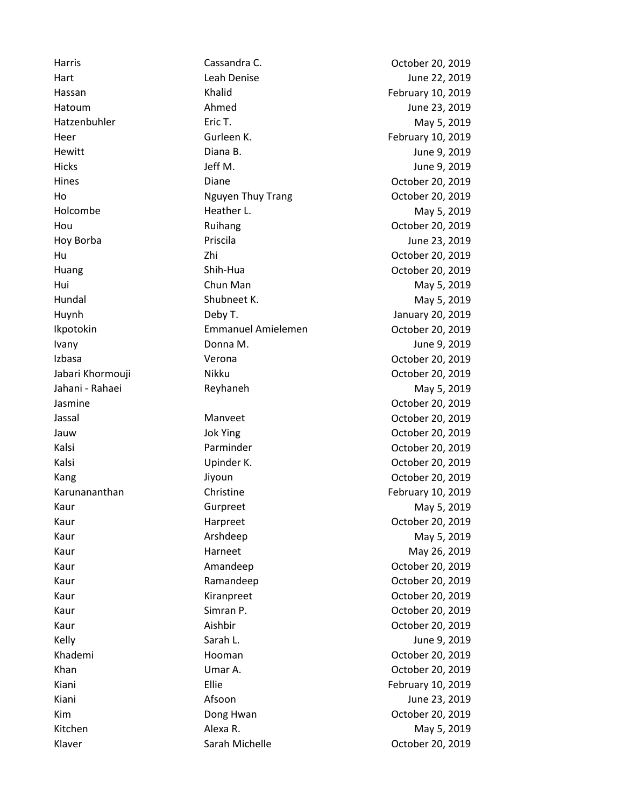Harris Cassandra C. October 20, 2019 Hart **Leah Denise** June 22, 2019 Hassan Khalid February 10, 2019 Hatoum **Ahmed** June 23, 2019 Hatzenbuhler **Exity Exits Exits Exits Exits Exits Exits** May 5, 2019 Heer Gurleen K. February 10, 2019 Hewitt **Diana B.** Diana B. The Diana B. All the Unit of the Unit of the Unit of the Unit of the Unit of the Unit of the Unit of the Unit of the Unit of the Unit of the Unit of the Unit of the Unit of the Unit of the Unit o Hicks Jeff M. June 9, 2019 Hines Diane October 20, 2019 Ho Nguyen Thuy Trang October 20, 2019 Holcombe **Heather L.** Heather L. May 5, 2019 Hou Ruihang October 20, 2019 Hoy Borba **Priscila** Priscila **Priscila** Priscila Priscila Priscila Priscila Priscila Priscila Priscila Priscila Hu Zhi October 20, 2019 Huang Shih-Hua October 20, 2019 Hui **Chun Man** Chun Man Man May 5, 2019 Hundal **May 5, 2019** Shubneet K. May 5, 2019 Huynh Deby T. January 20, 2019 Ikpotokin Emmanuel Amielemen October 20, 2019 Ivany Donna M. June 9, 2019 Izbasa Verona October 20, 2019 Jabari Khormouji Nikku October 20, 2019 Jahani - Rahaei **Reyhaneh May 5, 2019** May 5, 2019 Jasmine October 20, 2019 Jassal Manveet October 20, 2019 Jauw Jok Ying Charles Controller 20, 2019 Kalsi Parminder October 20, 2019 Kalsi Upinder K. October 20, 2019 Kang Jiyoun Jiyoun Coctober 20, 2019 Karunananthan **Christine** Christine **February 10, 2019** Kaur Gurpreet Gurpreet May 5, 2019 Kaur **Harpreet** Harpreet College Base Corporation of the May 1991 March 20, 2019 Kaur **Arshdeep** May 5, 2019 Kaur **Harneet** May 26, 2019 May 26, 2019 Kaur **Amandeep** Communication Amandeep Communication Communication Communication Communication Communication American American American American American American American American American American American American Ameri Kaur **Ramandeep Communist Communist Communist Communist Communist Communist Communist Communist Communist Communist Communist Communist Communist Communist Communist Communist Communist Communist Communist Communist Commun** Kaur Kiranpreet October 20, 2019 Kaur Simran P. Communications of the Summary School Simran P. Communications of the October 20, 2019 Kaur **Aishbir** Aishbir **Communist Communist Communist Communist Communist Communist Communist Communist Communist Communist Communist Communist Communist Communist Communist Communist Communist Communist Communist Communis** Kelly **Sarah L.** Sarah L. Sarah L. Sarah L. Sarah L. Sarah L. Sarah L. Sarah L. Sarah L. Sarah L. Sarah L. Sarah L Khademi **Hooman** Hooman Coctober 20, 2019 Khan Umar A. October 20, 2019 Kiani **Ellie** Ellie February 10, 2019 Kiani **Afsoon** Afsoon Afsoon Afsoon Afsoon Afsoon Afsoon Afsoon After After After After After After After After A Kim **Dong Hwan** Dong Hwan Cotober 20, 2019 Kitchen Alexa R. May 5, 2019

Klaver **Sarah Michelle Community Control** Cortober 20, 2019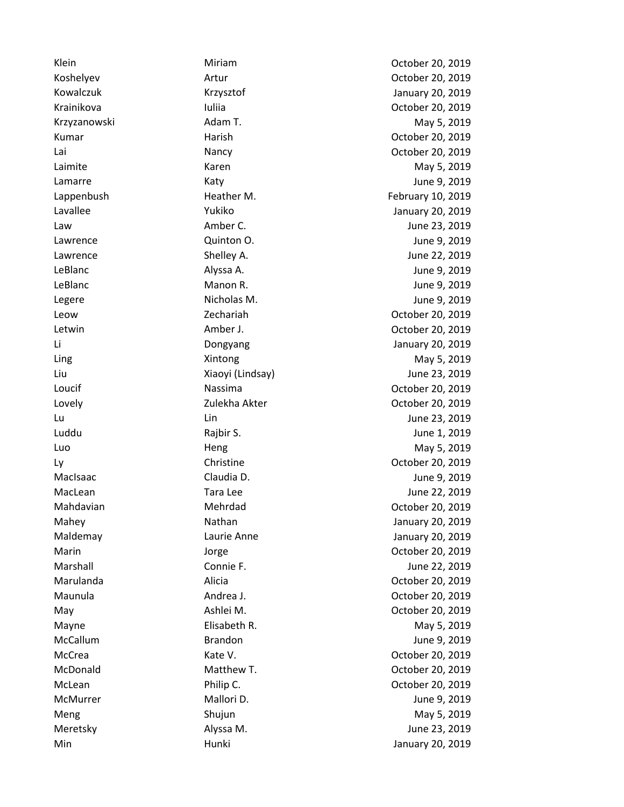Klein **Miriam Miriam Community** October 20, 2019 Koshelyev Artur October 20, 2019 Kowalczuk Krzysztof January 20, 2019 Krainikova Iuliia October 20, 2019 Krzyzanowski Adam T. May 5, 2019 Kumar **Harish Community Community** Harish Community Community October 20, 2019 Lai Nancy October 20, 2019 Laimite **May 5, 2019** Karen May 5, 2019 Lamarre Katy June 9, 2019 Lappenbush **Heather M.** February 10, 2019 Lavallee Yukiko January 20, 2019 Law Amber C. June 23, 2019 Lawrence Quinton O. June 9, 2019 Lawrence Shelley A. June 22, 2019 LeBlanc Alyssa A. June 9, 2019 LeBlanc **Manon R.** Manon R. Manon R. Manon R. Manon R. Manon R. Manon R. Manon R. Manon R. Manon R. M. M. M. 2019 Legere Nicholas M. June 9, 2019 Leow Zechariah October 20, 2019 Letwin Amber J. October 20, 2019 Li Dongyang January 20, 2019 Ling Contract Contract May 5, 2019 May 5, 2019 Liu Xiaoyi (Lindsay) June 23, 2019 Loucif Nassima October 20, 2019 Lovely Zulekha Akter October 20, 2019 Lu Lin June 23, 2019 Luddu Rajbir S. June 1, 2019 Luo **Heng Heng May 5, 2019** Ly Christine October 20, 2019 MacIsaac Claudia D. June 9, 2019 MacLean **MacLean** Tara Lee **June 22, 2019** Mahdavian Mehrdad October 20, 2019 Mahey **Nathan** Nathan January 20, 2019 Maldemay Laurie Anne January 20, 2019 Marin Jorge Communication of the Control of Communication of the Marine October 20, 2019 Marshall **Connie F.** Connie F. Marshall June 22, 2019 Marulanda Alicia October 20, 2019 Maunula Andrea J. October 20, 2019 May **Manufath M.** Ashlei M. Company Manufath M. Corober 20, 2019 Mayne **Elisabeth R.** May 5, 2019 **May 1, 2019** McCallum Brandon Brandon Brandon June 9, 2019 McCrea Kate V. Communications Controller 20, 2019 McDonald Matthew T. October 20, 2019 McLean Philip C. October 20, 2019 McMurrer **Mallori D.** Mallori D. McMurrer Museum Mallori D. McMurrer Museum Mallori D. McMurrer Museum Museum M Meng Shujun Shujun May 5, 2019 Meretsky Alyssa M. June 23, 2019 Min Hunki January 20, 2019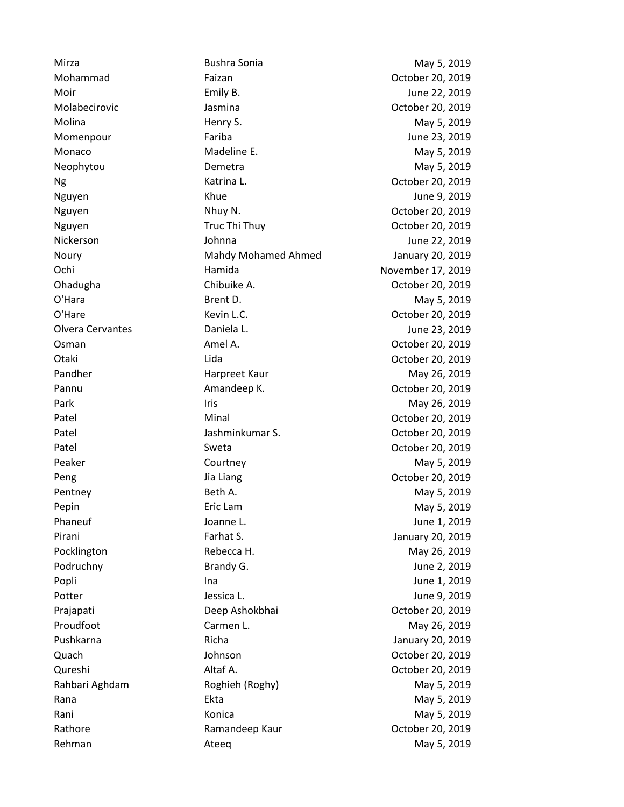Mirza Bushra Sonia May 5, 2019 Mohammad Faizan October 20, 2019 Moir **Emily B.** Constants Emily B. Constants Emily B. And The Moir State of the U.S. 2019 Molabecirovic Jasmina October 20, 2019 Molina **May 5, 2019** Henry S. The May 1, 2019 Momenpour **Fariba** Fariba June 23, 2019 Monaco Madeline E. Madeline E. May 5, 2019 Neophytou **Demetra** Demetra May 5, 2019 Ng Katrina L. October 20, 2019 Nguyen Khue June 9, 2019 Nguyen **National National Nhuy N.** National Common Coronal Coronal October 20, 2019 Nguyen **Truc Thi Thuy Communist Communist Communist Communist Communist Communist Communist Communist Communist Communist Communist Communist Communist Communist Communist Communist Communist Communist Communist Communist** Nickerson Johnna June 22, 2019 Noury Mahdy Mohamed Ahmed January 20, 2019 Ochi Hamida November 17, 2019 Ohadugha Chibuike A. October 20, 2019 O'Hara **Brent D.** Brent D. May 5, 2019 O'Hare Kevin L.C. October 20, 2019 Olvera Cervantes Daniela L. June 23, 2019 Osman Amel A. October 20, 2019 Otaki Lida October 20, 2019 Pandher **Harpreet Kaur** May 26, 2019 Pannu **Amandeep K.** Communication Communication Amandeep K. Communication Communication Communication Communication Park **Iris May 26, 2019** Patel **Minal** Minal **Communist Communist Communist Communist Communist Communist Communist Communist Communist Communist Communist Communist Communist Communist Communist Communist Communist Communist Communist Communist C** Patel Jashminkumar S. October 20, 2019 Patel **Sweta** Sweta **Communist Communist Communist Communist Communist Communist Communist Communist Communist Communist Communist Communist Communist Communist Communist Communist Communist Communist Communist Communist C** Peaker **May 5, 2019** Courtney **May 5, 2019** May 5, 2019 Peng Jia Liang Jia Liang Detober 20, 2019 Pentney **Beth A.** Beth A. May 5, 2019 Pepin **Example 2018** Eric Lam **Example 2018** 2019 May 5, 2019 Phaneuf **Communist Communist Communist Communist Communist Communist Communist Communist Communist Communist Communist Communist Communist Communist Communist Communist Communist Communist Communist Communist Communist Com** Pirani Farhat S. January 20, 2019 Pocklington **Rebecca H.** Rebecca H. May 26, 2019 Podruchny **Brandy G.** Brandy G. The State of the Brandy G. The State of the Brandy G. The State of the Brandy G. Popli **Ina** Ina Ina Ina Ina Ina ina kaominina amin'ny fivondronan-kaominin'i Popli amin'ny fivondronan-kaominin Potter The Contract of Lessica L. Contract of Lessica L. Contract of Lessica L. Contract and Lessica L. Contract L Prajapati Deep Ashokbhai October 20, 2019 Proudfoot **Carmen L.** Carmen L. May 26, 2019 Pushkarna **Richa Richa International Pushkarna** January 20, 2019 Quach Johnson October 20, 2019 Qureshi Altaf A. October 20, 2019 Rahbari Aghdam **Roghieh (Roghy)** May 5, 2019 Rana **Ekta May 5, 2019** The Ekta May 5, 2019 Rani May 5, 2019 Rani Konica May 5, 2019 Rathore Ramandeep Kaur October 20, 2019

Rehman and Ateeq and Ateas and Ateeq and Ateeq and Ateeq and Atee $\alpha$  May 5, 2019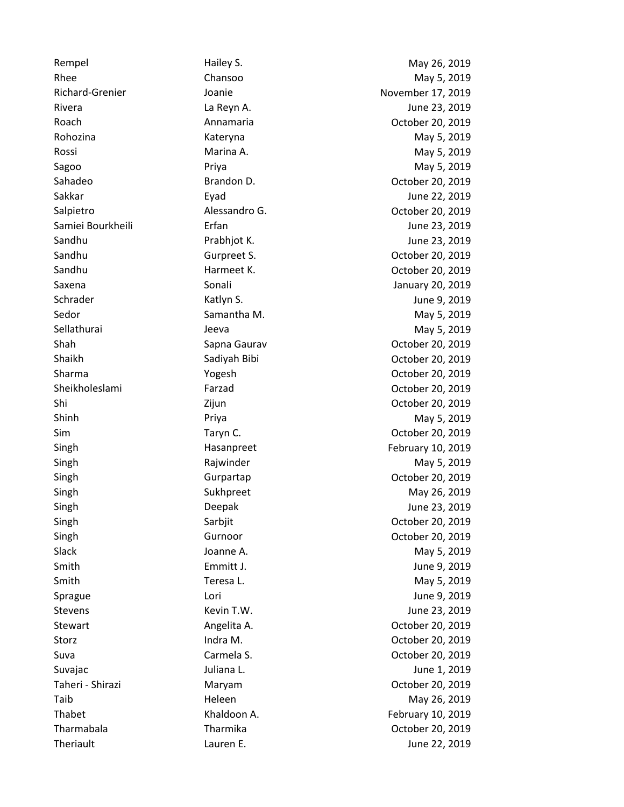Rhee Chansoo Chansoo May 5, 2019 Richard-Grenier Joanie November 17, 2019 Rivera La Reyn A. June 23, 2019 Roach **Annamaria** Annamaria Corober 20, 2019 Rohozina **May 5, 2019** Kateryna May 5, 2019 Rossi Marina A. May 5, 2019 Sagoo Priya May 5, 2019 Sahadeo Brandon D. October 20, 2019 Sakkar Eyad June 22, 2019 Salpietro **Alessandro G.** Calpietro **Contract Contract Alessandro G.** Contract Alexandro G. Samiei Bourkheili **Erfan** Fran June 23, 2019 Sandhu **Prabhjot K.** Prabhjot K. June 23, 2019 Sandhu Gurpreet S. October 20, 2019 Sandhu Harmeet K. October 20, 2019 Saxena Sonali Sonali January 20, 2019 Schrader Katlyn S. June 9, 2019 Sedor **Samantha M.** Samantha M. May 5, 2019 Sellathurai Jeeva May 5, 2019 Shah Shah Sapna Gaurav Corober 20, 2019 Shaikh Sadiyah Bibi October 20, 2019 Sharma Yogesh October 20, 2019 Sheikholeslami Farzad October 20, 2019 Shi Zijun October 20, 2019 Shinh **Priya** Priya **May 5, 2019** Sim **Taryn C.** Carryn C. Communication of the U.S. Communication of the U.S. 2019 Singh February 10, 2019 Hasanpreet February 10, 2019 Singh **May 5, 2019** Rajwinder **May 5, 2019** May 5, 2019 Singh Gurpartap October 20, 2019 Singh Sukhpreet May 26, 2019 Singh Deepak June 23, 2019 Singh Sarbjit October 20, 2019 Singh Gurnoor Gurnoor Constanting Communications of the Structure Constanting October 20, 2019 Slack Joanne A. May 5, 2019 Smith **Emmitt J. Emmitt J. Emmitt J. June 9, 2019** Smith **Teresa L.** Teresa L. May 5, 2019 Sprague Lori June 9, 2019 Stevens **Kevin T.W. Consumers CONSIDER CONSIDERATE: CONSIDERATE: CONSIDERATE: CONSIDERATE: CONSIDERATE: CONSIDERATE: CONSIDERATE: CONSIDERATE: CONSIDERATE: CONSIDERATE: CONSIDERATE: CONSIDERATE:** Stewart **Angelita A.** Angelita A. Corober 20, 2019 Storz **Indra M.** Indra M. **October 20, 2019** Suva Carmela S. October 20, 2019 Suvajac Juliana L. June 1, 2019 Taheri - Shirazi Maryam October 20, 2019 Taib **Heleen** Heleen May 26, 2019 Thabet **Khaldoon A.** February 10, 2019 Tharmabala Tharmika October 20, 2019

Rempel **Rempel Hailey S.** May 26, 2019 Theriault Lauren E. June 22, 2019